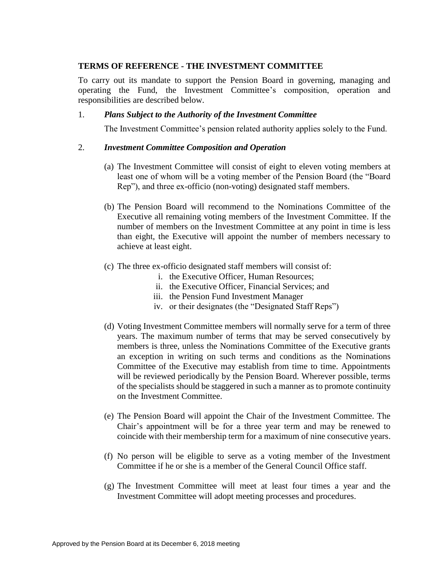# **TERMS OF REFERENCE - THE INVESTMENT COMMITTEE**

To carry out its mandate to support the Pension Board in governing, managing and operating the Fund, the Investment Committee's composition, operation and responsibilities are described below.

# 1. *Plans Subject to the Authority of the Investment Committee*

The Investment Committee's pension related authority applies solely to the Fund.

## 2. *Investment Committee Composition and Operation*

- (a) The Investment Committee will consist of eight to eleven voting members at least one of whom will be a voting member of the Pension Board (the "Board Rep"), and three ex-officio (non-voting) designated staff members.
- (b) The Pension Board will recommend to the Nominations Committee of the Executive all remaining voting members of the Investment Committee. If the number of members on the Investment Committee at any point in time is less than eight, the Executive will appoint the number of members necessary to achieve at least eight.
- (c) The three ex-officio designated staff members will consist of:
	- i. the Executive Officer, Human Resources;
	- ii. the Executive Officer, Financial Services; and
	- iii. the Pension Fund Investment Manager
	- iv. or their designates (the "Designated Staff Reps")
- (d) Voting Investment Committee members will normally serve for a term of three years. The maximum number of terms that may be served consecutively by members is three, unless the Nominations Committee of the Executive grants an exception in writing on such terms and conditions as the Nominations Committee of the Executive may establish from time to time. Appointments will be reviewed periodically by the Pension Board. Wherever possible, terms of the specialists should be staggered in such a manner as to promote continuity on the Investment Committee.
- (e) The Pension Board will appoint the Chair of the Investment Committee. The Chair's appointment will be for a three year term and may be renewed to coincide with their membership term for a maximum of nine consecutive years.
- (f) No person will be eligible to serve as a voting member of the Investment Committee if he or she is a member of the General Council Office staff.
- (g) The Investment Committee will meet at least four times a year and the Investment Committee will adopt meeting processes and procedures.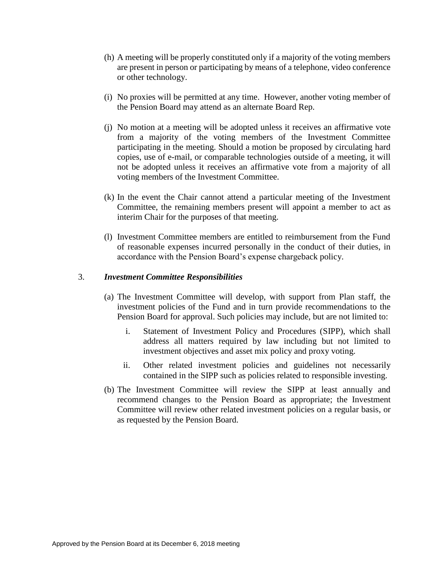- (h) A meeting will be properly constituted only if a majority of the voting members are present in person or participating by means of a telephone, video conference or other technology.
- (i) No proxies will be permitted at any time. However, another voting member of the Pension Board may attend as an alternate Board Rep.
- (j) No motion at a meeting will be adopted unless it receives an affirmative vote from a majority of the voting members of the Investment Committee participating in the meeting. Should a motion be proposed by circulating hard copies, use of e-mail, or comparable technologies outside of a meeting, it will not be adopted unless it receives an affirmative vote from a majority of all voting members of the Investment Committee.
- (k) In the event the Chair cannot attend a particular meeting of the Investment Committee, the remaining members present will appoint a member to act as interim Chair for the purposes of that meeting.
- (l) Investment Committee members are entitled to reimbursement from the Fund of reasonable expenses incurred personally in the conduct of their duties, in accordance with the Pension Board's expense chargeback policy.

#### 3. *Investment Committee Responsibilities*

- (a) The Investment Committee will develop, with support from Plan staff, the investment policies of the Fund and in turn provide recommendations to the Pension Board for approval. Such policies may include, but are not limited to:
	- i. Statement of Investment Policy and Procedures (SIPP), which shall address all matters required by law including but not limited to investment objectives and asset mix policy and proxy voting.
	- ii. Other related investment policies and guidelines not necessarily contained in the SIPP such as policies related to responsible investing.
- (b) The Investment Committee will review the SIPP at least annually and recommend changes to the Pension Board as appropriate; the Investment Committee will review other related investment policies on a regular basis, or as requested by the Pension Board.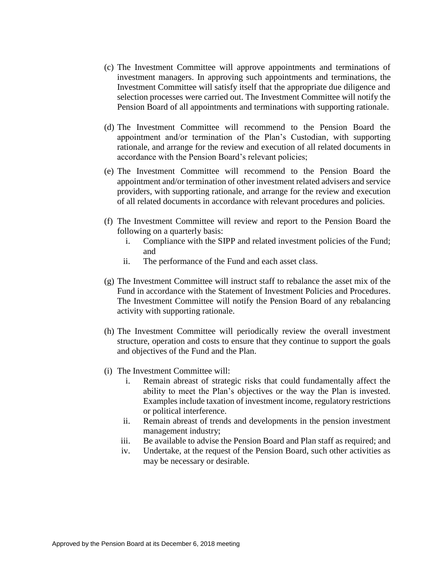- (c) The Investment Committee will approve appointments and terminations of investment managers. In approving such appointments and terminations, the Investment Committee will satisfy itself that the appropriate due diligence and selection processes were carried out. The Investment Committee will notify the Pension Board of all appointments and terminations with supporting rationale.
- (d) The Investment Committee will recommend to the Pension Board the appointment and/or termination of the Plan's Custodian, with supporting rationale, and arrange for the review and execution of all related documents in accordance with the Pension Board's relevant policies;
- (e) The Investment Committee will recommend to the Pension Board the appointment and/or termination of other investment related advisers and service providers, with supporting rationale, and arrange for the review and execution of all related documents in accordance with relevant procedures and policies.
- (f) The Investment Committee will review and report to the Pension Board the following on a quarterly basis:
	- i. Compliance with the SIPP and related investment policies of the Fund; and
	- ii. The performance of the Fund and each asset class.
- (g) The Investment Committee will instruct staff to rebalance the asset mix of the Fund in accordance with the Statement of Investment Policies and Procedures. The Investment Committee will notify the Pension Board of any rebalancing activity with supporting rationale.
- (h) The Investment Committee will periodically review the overall investment structure, operation and costs to ensure that they continue to support the goals and objectives of the Fund and the Plan.
- (i) The Investment Committee will:
	- i. Remain abreast of strategic risks that could fundamentally affect the ability to meet the Plan's objectives or the way the Plan is invested. Examples include taxation of investment income, regulatory restrictions or political interference.
	- ii. Remain abreast of trends and developments in the pension investment management industry;
	- iii. Be available to advise the Pension Board and Plan staff as required; and
	- iv. Undertake, at the request of the Pension Board, such other activities as may be necessary or desirable.